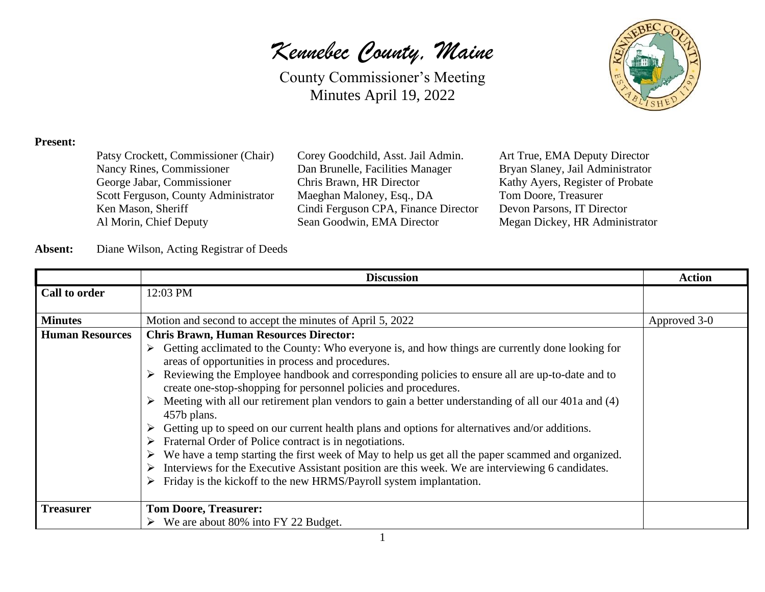County Commissioner's Meeting Minutes April 19, 2022



#### **Present:**

| Patsy Crockett, Commissioner (Chair) |
|--------------------------------------|
| Nancy Rines, Commissioner            |
| George Jabar, Commissioner           |
| Scott Ferguson, County Administrator |
| Ken Mason, Sheriff                   |
| Al Morin, Chief Deputy               |

Corey Goodchild, Asst. Jail Admin. Art True, EMA Deputy Director Dan Brunelle, Facilities Manager Bryan Slaney, Jail Administrator Chris Brawn, HR Director Kathy Ayers, Register of Probate Maeghan Maloney, Esq., DA Tom Doore, Treasurer Cindi Ferguson CPA, Finance Director Devon Parsons, IT Director Sean Goodwin, EMA Director Megan Dickey, HR Administrator

#### **Absent:** Diane Wilson, Acting Registrar of Deeds

|                        | <b>Discussion</b>                                                                                                                                                                  | <b>Action</b> |
|------------------------|------------------------------------------------------------------------------------------------------------------------------------------------------------------------------------|---------------|
| Call to order          | 12:03 PM                                                                                                                                                                           |               |
|                        |                                                                                                                                                                                    |               |
| <b>Minutes</b>         | Motion and second to accept the minutes of April 5, 2022                                                                                                                           | Approved 3-0  |
| <b>Human Resources</b> | <b>Chris Brawn, Human Resources Director:</b>                                                                                                                                      |               |
|                        | Getting acclimated to the County: Who everyone is, and how things are currently done looking for<br>➤<br>areas of opportunities in process and procedures.                         |               |
|                        | $\triangleright$ Reviewing the Employee handbook and corresponding policies to ensure all are up-to-date and to<br>create one-stop-shopping for personnel policies and procedures. |               |
|                        | $\triangleright$ Meeting with all our retirement plan vendors to gain a better understanding of all our 401a and (4)<br>457b plans.                                                |               |
|                        | Getting up to speed on our current health plans and options for alternatives and/or additions.<br>➤<br>$\triangleright$ Fraternal Order of Police contract is in negotiations.     |               |
|                        | We have a temp starting the first week of May to help us get all the paper scammed and organized.<br>➤                                                                             |               |
|                        | Interviews for the Executive Assistant position are this week. We are interviewing 6 candidates.<br>➤<br>Friday is the kickoff to the new HRMS/Payroll system implantation.<br>➤   |               |
|                        |                                                                                                                                                                                    |               |
| <b>Treasurer</b>       | <b>Tom Doore, Treasurer:</b>                                                                                                                                                       |               |
|                        | $\triangleright$ We are about 80% into FY 22 Budget.                                                                                                                               |               |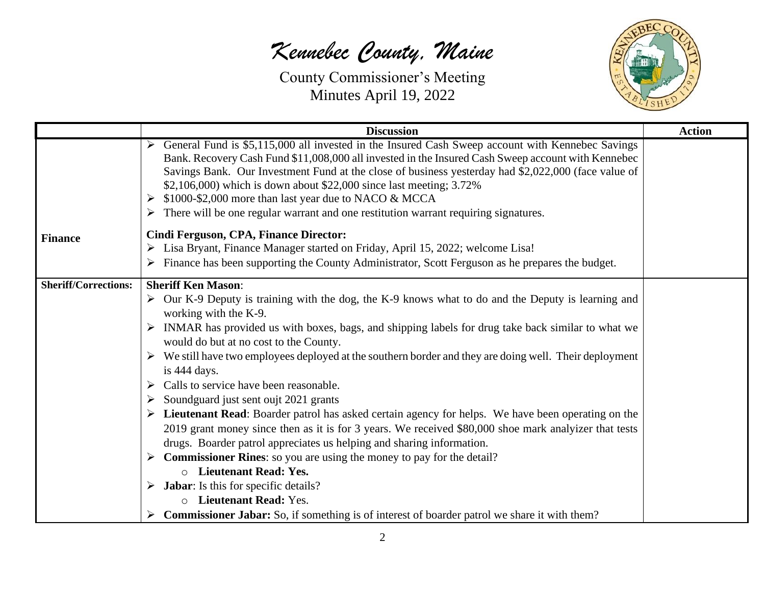

|                             | <b>Discussion</b>                                                                                                                                                                                                                                                                                             | <b>Action</b> |
|-----------------------------|---------------------------------------------------------------------------------------------------------------------------------------------------------------------------------------------------------------------------------------------------------------------------------------------------------------|---------------|
|                             | General Fund is \$5,115,000 all invested in the Insured Cash Sweep account with Kennebec Savings<br>Bank. Recovery Cash Fund \$11,008,000 all invested in the Insured Cash Sweep account with Kennebec<br>Savings Bank. Our Investment Fund at the close of business yesterday had \$2,022,000 (face value of |               |
|                             | \$2,106,000) which is down about \$22,000 since last meeting; 3.72%                                                                                                                                                                                                                                           |               |
|                             | \$1000-\$2,000 more than last year due to NACO & MCCA<br>➤                                                                                                                                                                                                                                                    |               |
|                             | $\triangleright$ There will be one regular warrant and one restitution warrant requiring signatures.                                                                                                                                                                                                          |               |
| <b>Finance</b>              | Cindi Ferguson, CPA, Finance Director:                                                                                                                                                                                                                                                                        |               |
|                             | > Lisa Bryant, Finance Manager started on Friday, April 15, 2022; welcome Lisa!                                                                                                                                                                                                                               |               |
|                             | $\triangleright$ Finance has been supporting the County Administrator, Scott Ferguson as he prepares the budget.                                                                                                                                                                                              |               |
| <b>Sheriff/Corrections:</b> | <b>Sheriff Ken Mason:</b>                                                                                                                                                                                                                                                                                     |               |
|                             | $\triangleright$ Our K-9 Deputy is training with the dog, the K-9 knows what to do and the Deputy is learning and<br>working with the K-9.                                                                                                                                                                    |               |
|                             | > INMAR has provided us with boxes, bags, and shipping labels for drug take back similar to what we                                                                                                                                                                                                           |               |
|                             | would do but at no cost to the County.                                                                                                                                                                                                                                                                        |               |
|                             | $\triangleright$ We still have two employees deployed at the southern border and they are doing well. Their deployment<br>is 444 days.                                                                                                                                                                        |               |
|                             | Calls to service have been reasonable.                                                                                                                                                                                                                                                                        |               |
|                             | Soundguard just sent oujt 2021 grants                                                                                                                                                                                                                                                                         |               |
|                             | > Lieutenant Read: Boarder patrol has asked certain agency for helps. We have been operating on the                                                                                                                                                                                                           |               |
|                             | 2019 grant money since then as it is for 3 years. We received \$80,000 shoe mark analyizer that tests                                                                                                                                                                                                         |               |
|                             | drugs. Boarder patrol appreciates us helping and sharing information.                                                                                                                                                                                                                                         |               |
|                             | $\triangleright$ Commissioner Rines: so you are using the money to pay for the detail?                                                                                                                                                                                                                        |               |
|                             | <b>O</b> Lieutenant Read: Yes.                                                                                                                                                                                                                                                                                |               |
|                             | $\triangleright$ <b>Jabar:</b> Is this for specific details?                                                                                                                                                                                                                                                  |               |
|                             | <b>Lieutenant Read: Yes.</b><br>$\circ$                                                                                                                                                                                                                                                                       |               |
|                             | <b>Commissioner Jabar:</b> So, if something is of interest of boarder patrol we share it with them?                                                                                                                                                                                                           |               |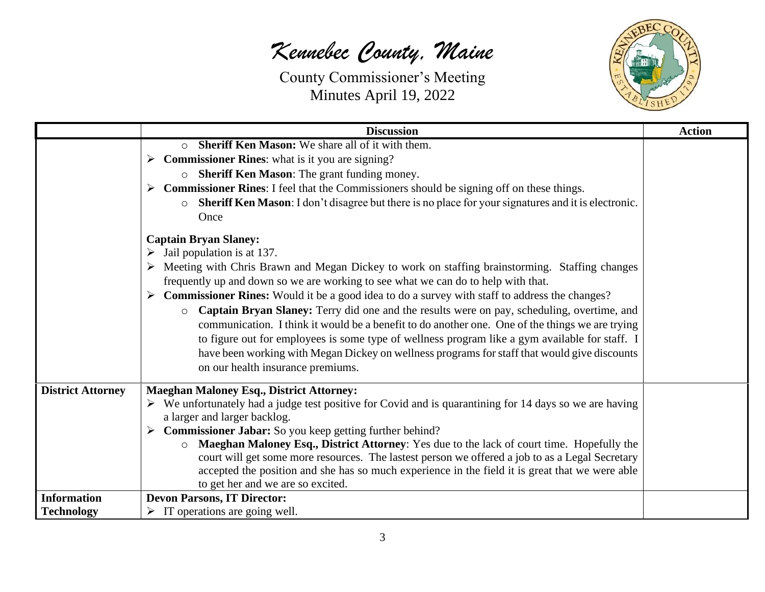

|                          | <b>Discussion</b>                                                                                                                                                                                                                                                                                                                                                                                                                                                                                                                                                                                                                                                                                                                                                                                                                                                                                                                                                                                                                                                                                                                                                                                           | <b>Action</b> |
|--------------------------|-------------------------------------------------------------------------------------------------------------------------------------------------------------------------------------------------------------------------------------------------------------------------------------------------------------------------------------------------------------------------------------------------------------------------------------------------------------------------------------------------------------------------------------------------------------------------------------------------------------------------------------------------------------------------------------------------------------------------------------------------------------------------------------------------------------------------------------------------------------------------------------------------------------------------------------------------------------------------------------------------------------------------------------------------------------------------------------------------------------------------------------------------------------------------------------------------------------|---------------|
|                          | <b>Sheriff Ken Mason:</b> We share all of it with them.<br>$\circ$<br>$\triangleright$ Commissioner Rines: what is it you are signing?<br>Sheriff Ken Mason: The grant funding money.<br>$\circ$<br>$\triangleright$ Commissioner Rines: I feel that the Commissioners should be signing off on these things.<br>Sheriff Ken Mason: I don't disagree but there is no place for your signatures and it is electronic.<br>Once<br><b>Captain Bryan Slaney:</b><br>Jail population is at 137.<br>Meeting with Chris Brawn and Megan Dickey to work on staffing brainstorming. Staffing changes<br>frequently up and down so we are working to see what we can do to help with that.<br><b>Commissioner Rines:</b> Would it be a good idea to do a survey with staff to address the changes?<br>➤<br>Captain Bryan Slaney: Terry did one and the results were on pay, scheduling, overtime, and<br>$\circ$<br>communication. I think it would be a benefit to do another one. One of the things we are trying<br>to figure out for employees is some type of wellness program like a gym available for staff. I<br>have been working with Megan Dickey on wellness programs for staff that would give discounts |               |
| <b>District Attorney</b> | on our health insurance premiums.<br><b>Maeghan Maloney Esq., District Attorney:</b>                                                                                                                                                                                                                                                                                                                                                                                                                                                                                                                                                                                                                                                                                                                                                                                                                                                                                                                                                                                                                                                                                                                        |               |
|                          | $\triangleright$ We unfortunately had a judge test positive for Covid and is quarantining for 14 days so we are having<br>a larger and larger backlog.<br>$\triangleright$ Commissioner Jabar: So you keep getting further behind?<br>Maeghan Maloney Esq., District Attorney: Yes due to the lack of court time. Hopefully the<br>court will get some more resources. The lastest person we offered a job to as a Legal Secretary<br>accepted the position and she has so much experience in the field it is great that we were able<br>to get her and we are so excited.                                                                                                                                                                                                                                                                                                                                                                                                                                                                                                                                                                                                                                  |               |
| <b>Information</b>       | <b>Devon Parsons, IT Director:</b>                                                                                                                                                                                                                                                                                                                                                                                                                                                                                                                                                                                                                                                                                                                                                                                                                                                                                                                                                                                                                                                                                                                                                                          |               |
| <b>Technology</b>        | $\triangleright$ IT operations are going well.                                                                                                                                                                                                                                                                                                                                                                                                                                                                                                                                                                                                                                                                                                                                                                                                                                                                                                                                                                                                                                                                                                                                                              |               |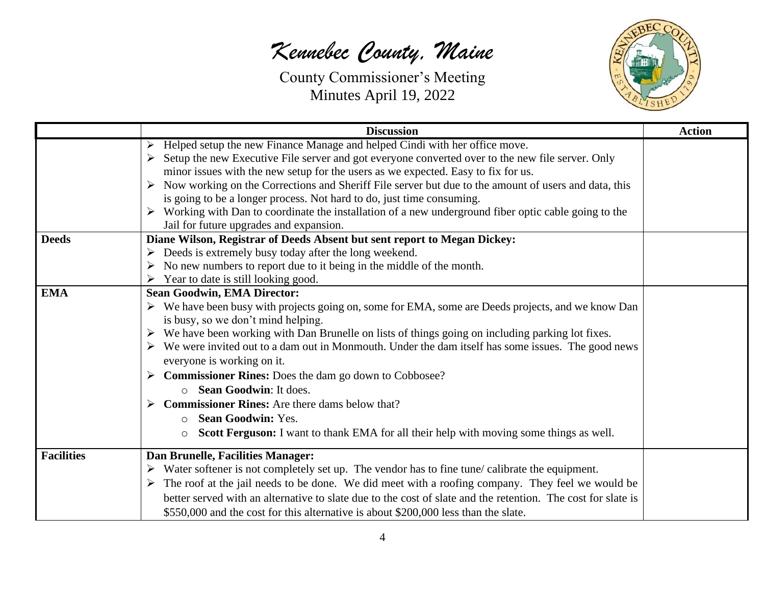

|                   | <b>Discussion</b>                                                                                                     | <b>Action</b> |
|-------------------|-----------------------------------------------------------------------------------------------------------------------|---------------|
|                   | Helped setup the new Finance Manage and helped Cindi with her office move.                                            |               |
|                   | Setup the new Executive File server and got everyone converted over to the new file server. Only                      |               |
|                   | minor issues with the new setup for the users as we expected. Easy to fix for us.                                     |               |
|                   | $\triangleright$ Now working on the Corrections and Sheriff File server but due to the amount of users and data, this |               |
|                   | is going to be a longer process. Not hard to do, just time consuming.                                                 |               |
|                   | $\triangleright$ Working with Dan to coordinate the installation of a new underground fiber optic cable going to the  |               |
|                   | Jail for future upgrades and expansion.                                                                               |               |
| <b>Deeds</b>      | Diane Wilson, Registrar of Deeds Absent but sent report to Megan Dickey:                                              |               |
|                   | Deeds is extremely busy today after the long weekend.                                                                 |               |
|                   | No new numbers to report due to it being in the middle of the month.                                                  |               |
|                   | Year to date is still looking good.                                                                                   |               |
| <b>EMA</b>        | <b>Sean Goodwin, EMA Director:</b>                                                                                    |               |
|                   | > We have been busy with projects going on, some for EMA, some are Deeds projects, and we know Dan                    |               |
|                   | is busy, so we don't mind helping.                                                                                    |               |
|                   | $\triangleright$ We have been working with Dan Brunelle on lists of things going on including parking lot fixes.      |               |
|                   | $\triangleright$ We were invited out to a dam out in Monmouth. Under the dam itself has some issues. The good news    |               |
|                   | everyone is working on it.                                                                                            |               |
|                   | $\triangleright$ Commissioner Rines: Does the dam go down to Cobbosee?                                                |               |
|                   | Sean Goodwin: It does.                                                                                                |               |
|                   | <b>Commissioner Rines:</b> Are there dams below that?                                                                 |               |
|                   | <b>Sean Goodwin: Yes.</b><br>$\circ$                                                                                  |               |
|                   | Scott Ferguson: I want to thank EMA for all their help with moving some things as well.<br>$\circ$                    |               |
| <b>Facilities</b> | Dan Brunelle, Facilities Manager:                                                                                     |               |
|                   | $\triangleright$ Water softener is not completely set up. The vendor has to fine tune/calibrate the equipment.        |               |
|                   | $\triangleright$ The roof at the jail needs to be done. We did meet with a roofing company. They feel we would be     |               |
|                   | better served with an alternative to slate due to the cost of slate and the retention. The cost for slate is          |               |
|                   | \$550,000 and the cost for this alternative is about \$200,000 less than the slate.                                   |               |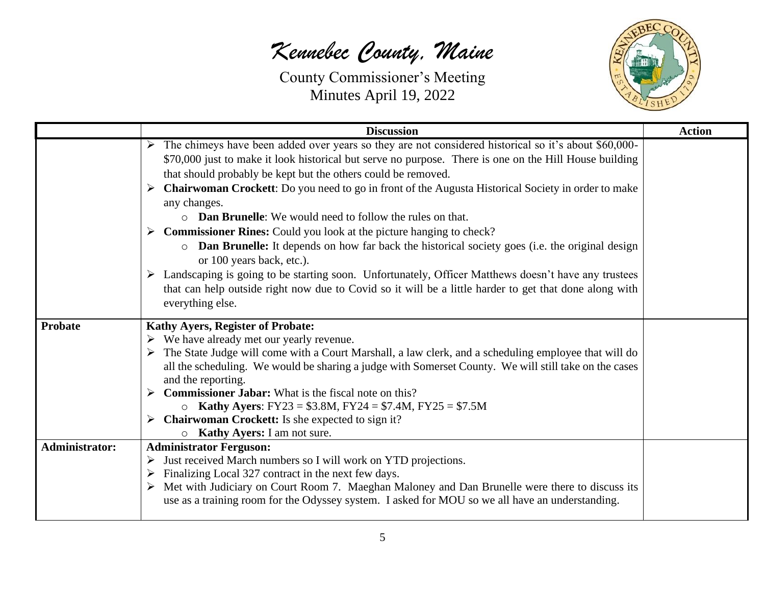

|                       | <b>Discussion</b>                                                                                                                             | <b>Action</b> |
|-----------------------|-----------------------------------------------------------------------------------------------------------------------------------------------|---------------|
|                       | The chimeys have been added over years so they are not considered historical so it's about \$60,000-<br>➤                                     |               |
|                       | \$70,000 just to make it look historical but serve no purpose. There is one on the Hill House building                                        |               |
|                       | that should probably be kept but the others could be removed.                                                                                 |               |
|                       | <b>Chairwoman Crockett:</b> Do you need to go in front of the Augusta Historical Society in order to make                                     |               |
|                       | any changes.                                                                                                                                  |               |
|                       | <b>Dan Brunelle:</b> We would need to follow the rules on that.<br>$\circ$                                                                    |               |
|                       | <b>Commissioner Rines:</b> Could you look at the picture hanging to check?<br>➤                                                               |               |
|                       | <b>Dan Brunelle:</b> It depends on how far back the historical society goes (i.e. the original design<br>$\circ$<br>or 100 years back, etc.). |               |
|                       | Landscaping is going to be starting soon. Unfortunately, Officer Matthews doesn't have any trustees<br>➤                                      |               |
|                       | that can help outside right now due to Covid so it will be a little harder to get that done along with                                        |               |
|                       | everything else.                                                                                                                              |               |
| <b>Probate</b>        | <b>Kathy Ayers, Register of Probate:</b>                                                                                                      |               |
|                       | $\triangleright$ We have already met our yearly revenue.                                                                                      |               |
|                       | $\triangleright$ The State Judge will come with a Court Marshall, a law clerk, and a scheduling employee that will do                         |               |
|                       | all the scheduling. We would be sharing a judge with Somerset County. We will still take on the cases                                         |               |
|                       | and the reporting.                                                                                                                            |               |
|                       | <b>Commissioner Jabar:</b> What is the fiscal note on this?                                                                                   |               |
|                       | <b>Kathy Ayers:</b> FY23 = \$3.8M, FY24 = \$7.4M, FY25 = \$7.5M                                                                               |               |
|                       | $\triangleright$ Chairwoman Crockett: Is she expected to sign it?                                                                             |               |
| <b>Administrator:</b> | <b>Example 3 Kathy Ayers:</b> I am not sure.                                                                                                  |               |
|                       | <b>Administrator Ferguson:</b><br>Just received March numbers so I will work on YTD projections.<br>➤                                         |               |
|                       | Finalizing Local 327 contract in the next few days.                                                                                           |               |
|                       | Met with Judiciary on Court Room 7. Maeghan Maloney and Dan Brunelle were there to discuss its                                                |               |
|                       | use as a training room for the Odyssey system. I asked for MOU so we all have an understanding.                                               |               |
|                       |                                                                                                                                               |               |